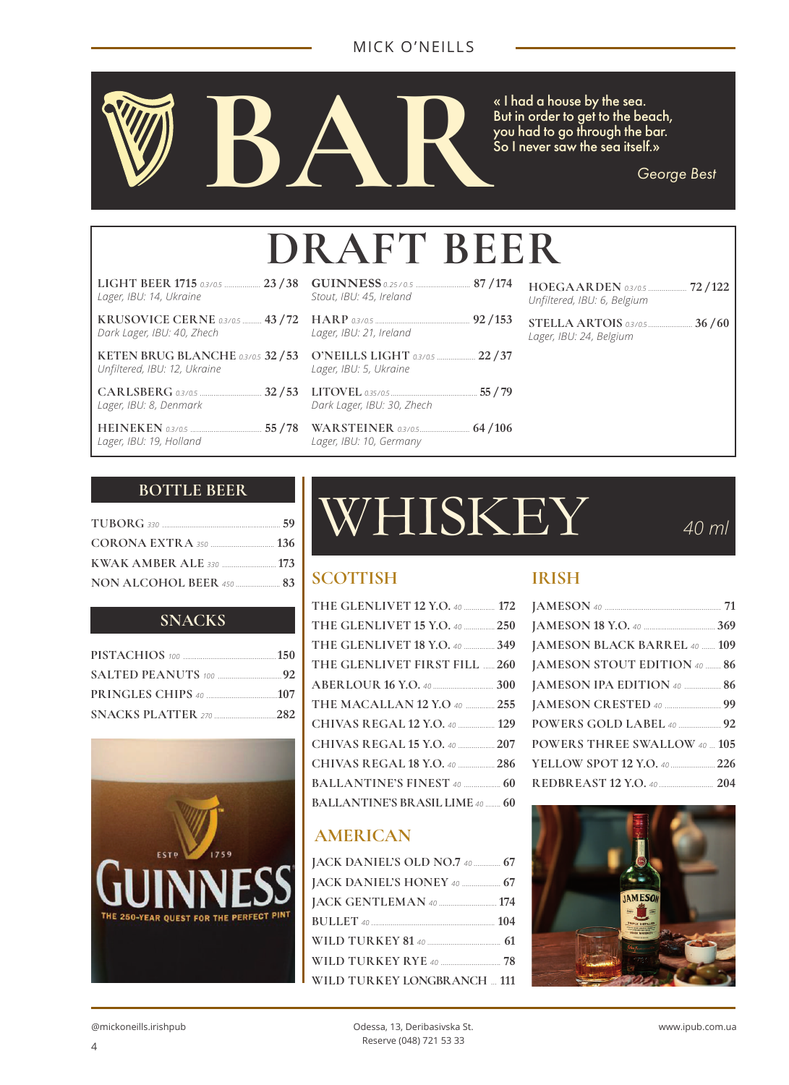

*George Best*

# **DRAFT BEER**

| LIGHT BEER 1715 0.3/0.5  23 / 38<br>Lager, IBU: 14, Ukraine           |
|-----------------------------------------------------------------------|
| <b>KRUSOVICE CERNE 0.3/0.5  43 / 72</b><br>Dark Lager, IBU: 40, Zhech |
| KETEN BRUG BLANCHE 0.3/0.5 32 / 53<br>Unfiltered, IBU: 12, Ukraine    |

| Lager, IBU: 8, Denmark |  |  |
|------------------------|--|--|

**HEINEKEN** 0.3/0.5 ... *Lager, IBU: 19, Holland*

| Stout, IBU: 45, Ireland                                   |  |
|-----------------------------------------------------------|--|
| Lager, IBU: 21, Ireland                                   |  |
| O'NEILLS LIGHT 0.3/0.5  22 / 37<br>Lager, IBU: 5, Ukraine |  |
|                                                           |  |

*Dark Lager, IBU: 30, Zhech*

**WARSTEINER** *0.3 / 0.5*.......................... **64 / 106** *Lager, IBU: 10, Germany*

| HOEGAARDEN 0.3/0.5  72/122<br>Unfiltered, IBU: 6, Belgium |
|-----------------------------------------------------------|
| Lager, IBU: 24, Belgium                                   |
|                                                           |

#### **BOTTLE BEER**

| NON ALCOHOL BEER 450 <b>Manual</b> 83 |  |
|---------------------------------------|--|

#### **SNACKS**



# WHISKEY *40 ml*

#### **SCOTTISH IRISH**

| THE GLENLIVET 12 Y.O. 40  172          |  |
|----------------------------------------|--|
| THE GLENLIVET 15 Y.O. 40  250          |  |
| THE GLENLIVET 18 Y.O. 40  349          |  |
| THE GLENLIVET FIRST FILL  260          |  |
|                                        |  |
| THE MACALLAN 12 Y.O 40  255            |  |
| CHIVAS REGAL 12 Y.O. 40  129           |  |
| CHIVAS REGAL 15 Y.O. 40  207           |  |
| CHIVAS REGAL 18 Y.O. 40  286           |  |
| <b>BALLANTINE'S FINEST 40  60</b>      |  |
| <b>BALLANTINE'S BRASIL LIME 40  60</b> |  |

### **AMERICAN**

| JACK DANIEL'S OLD NO.7 40  67 |  |
|-------------------------------|--|
| JACK DANIEL'S HONEY 40  67    |  |
| JACK GENTLEMAN 40  174        |  |
|                               |  |
|                               |  |
| WILD TURKEY RYE 40  78        |  |
| WILD TURKEY LONGBRANCH  111   |  |
|                               |  |

| JAMESON BLACK BARREL 40  109        |  |
|-------------------------------------|--|
| JAMESON STOUT EDITION 40  86        |  |
| JAMESON IPA EDITION 40  86          |  |
|                                     |  |
| POWERS GOLD LABEL 40  92            |  |
| <b>POWERS THREE SWALLOW 40  105</b> |  |
| YELLOW SPOT 12 Y.O. 40  226         |  |
|                                     |  |

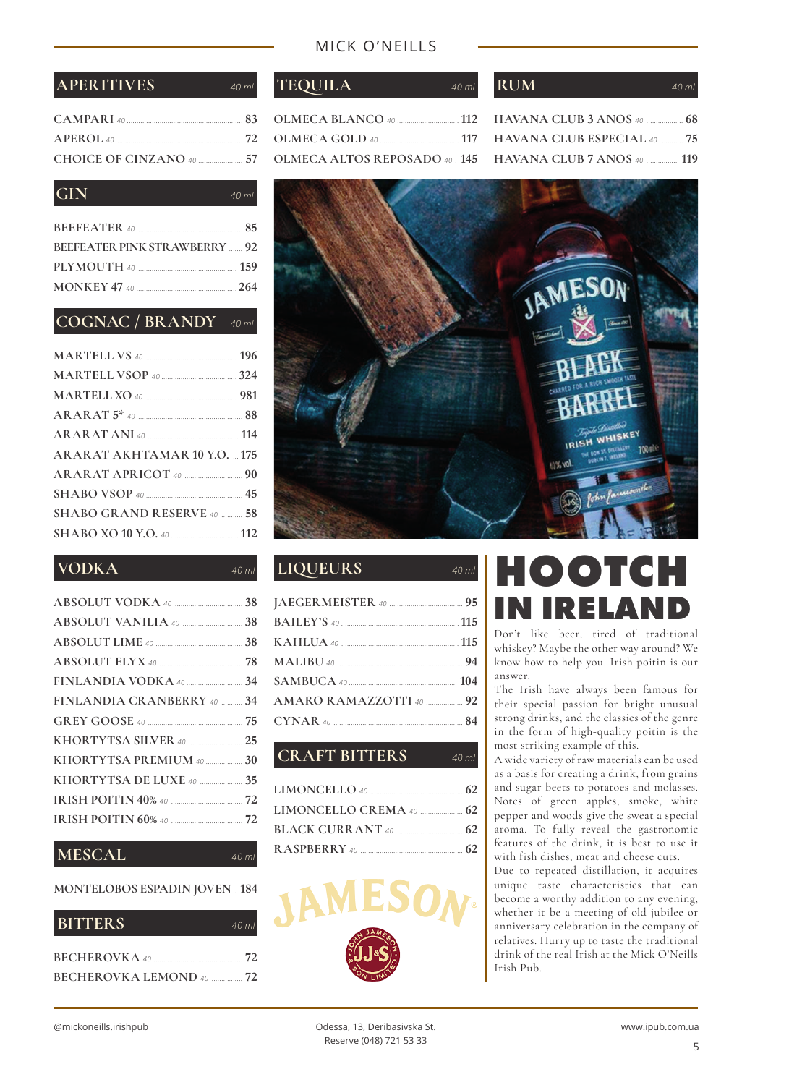#### MICK O'NEILLS

| CHOICE OF CINZANO 40 $\ldots$ 57 |  |
|----------------------------------|--|

#### **GIN** *40 ml*

| <b>BEEFEATER PINK STRAWBERRY  92</b> |  |
|--------------------------------------|--|
|                                      |  |
|                                      |  |

#### **COGNAC / BRANDY** *40 ml*

| <b>ARARAT AKHTAMAR 10 Y.O.  175</b> |  |
|-------------------------------------|--|
|                                     |  |
|                                     |  |
| SHABO GRAND RESERVE 40  58          |  |
|                                     |  |

#### **VODKA** *40 ml*

| FINLANDIA CRANBERRY 40  34 |  |
|----------------------------|--|
|                            |  |
| KHORTYTSA SILVER 40  25    |  |
| KHORTYTSA PREMIUM 40  30   |  |
| KHORTYTSA DE LUXE 40  35   |  |
|                            |  |
|                            |  |
|                            |  |

#### **MESCAL** *40 ml*

#### **MONTELOBOS ESPADIN JOVEN** . **184**

| <b>BITTERS</b>                  | $40\,ml$ |
|---------------------------------|----------|
| $BECHEROVKA$ 40 $\sim$ 72       |          |
| <b>BECHEROVKA LEMOND 40  72</b> |          |

| <b>OLMECA ALTOS REPOSADO 40 145</b> |  |
|-------------------------------------|--|

### **APERITIVES** *40 ml* **TEQUILA** *40 ml* **RUM** *40 ml*

| <b>HAVANA CLUB ESPECIAL 40  75</b> |  |
|------------------------------------|--|
| <b>HAVANA CLUB 7 ANOS</b> 40  119  |  |



#### **LIQUEURS** *40 ml*

| AMARO RAMAZZOTTI 40  92 |  |
|-------------------------|--|
|                         |  |
|                         |  |

#### **CRAFT BITTERS** *40 ml*



### **HOOTCH IN IRELAND**

Don't like beer, tired of traditional whiskey? Maybe the other way around? We know how to help you. Irish poitin is our answer.

The Irish have always been famous for their special passion for bright unusual strong drinks, and the classics of the genre in the form of high-quality poitin is the most striking example of this.

A wide variety of raw materials can be used as a basis for creating a drink, from grains and sugar beets to potatoes and molasses. Notes of green apples, smoke, white pepper and woods give the sweat a special aroma. To fully reveal the gastronomic features of the drink, it is best to use it with fish dishes, meat and cheese cuts.

Due to repeated distillation, it acquires unique taste characteristics that can become a worthy addition to any evening, whether it be a meeting of old jubilee or anniversary celebration in the company of relatives. Hurry up to taste the traditional drink of the real Irish at the Mick O'Neills Irish Pub.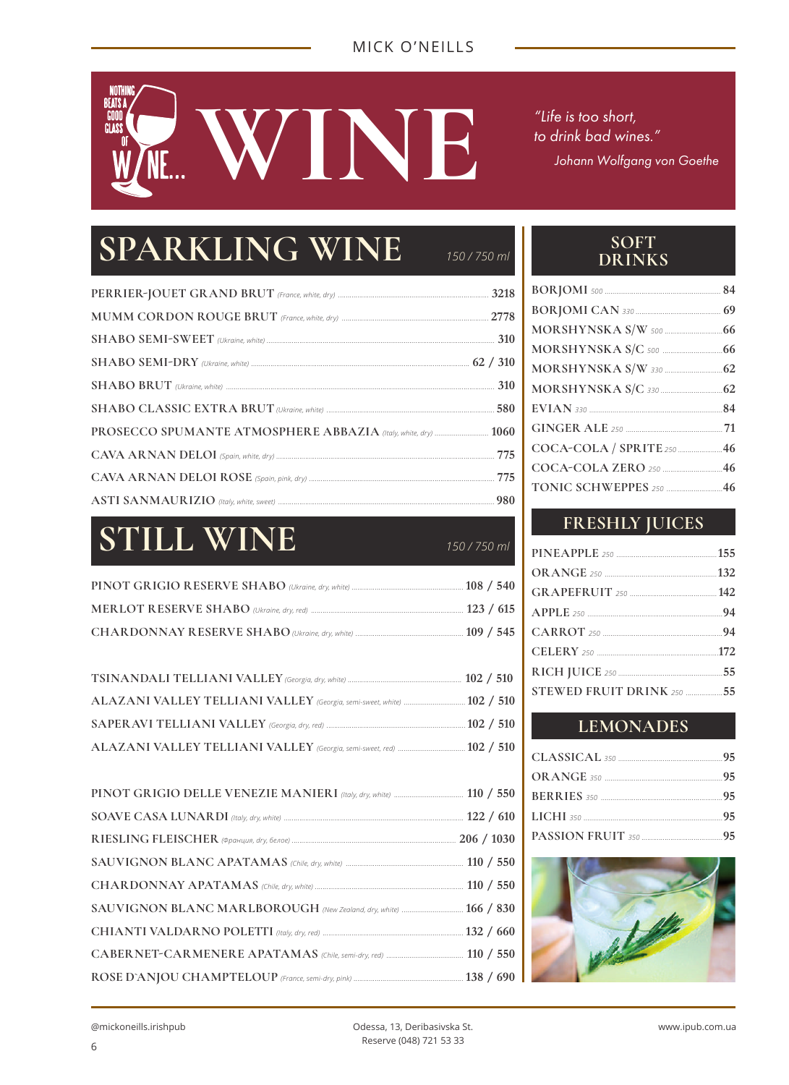## NOTH<br>Beats a GOOD<br>GLASS **WINEER THE STAND WEIGHT WAS SHOT WARE AND MANUSCRIPS ON THE STAND WAS SHOTN WARE AND MANUSCRIPS ON THE STAND WAS SHOTN WAS SHOTN WAS SHOTN WAS SHOTN WAS SHOTN WAS SHOTN WAS SHOTN WAS SHOTN WAS SHOTN WAS SHOTN WAS SHOTN WA**

*to drink bad wines." Johann Wolfgang von Goethe*

## **SPARKLING WINE** *150 / 750 ml*

## **STILL WINE** *150 / 750 ml*

| ALAZANI VALLEY TELLIANI VALLEY (Georgia, semi-sweet, white)  102 / 510 |  |
|------------------------------------------------------------------------|--|
|                                                                        |  |
|                                                                        |  |

| SAUVIGNON BLANC MARLBOROUGH (New Zealand, dry, white)  166 / 830 |  |
|------------------------------------------------------------------|--|
|                                                                  |  |
|                                                                  |  |
|                                                                  |  |
|                                                                  |  |

#### **SOFT DRINKS**

| COCA-COLA / SPRITE 250  46 |  |
|----------------------------|--|
|                            |  |
| TONIC SCHWEPPES 250  46    |  |
|                            |  |

### **FRESHLY JUICES**

| STEWED FRUIT DRINK 250  55 |  |
|----------------------------|--|
|                            |  |

#### **LEMONADES**